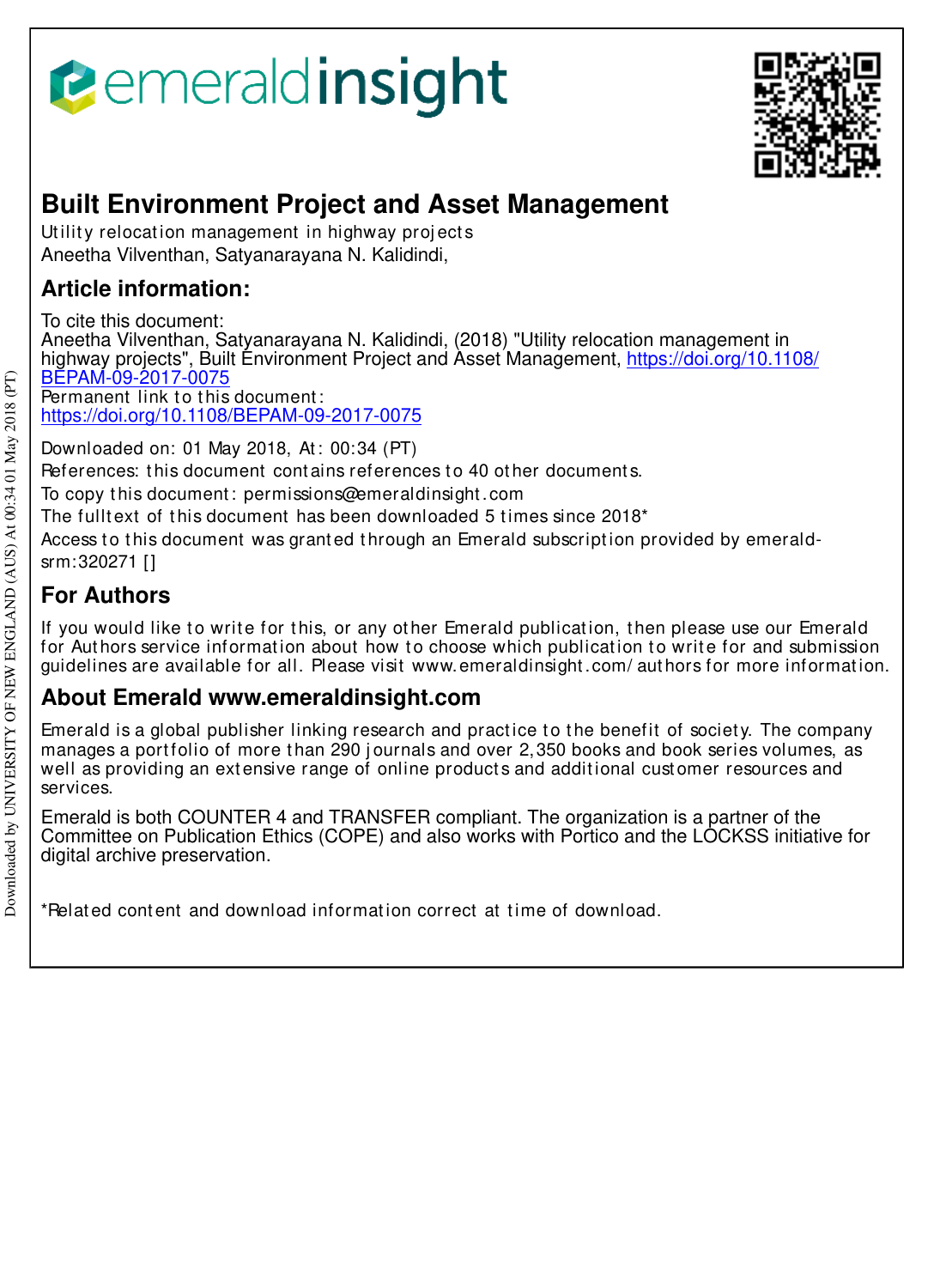



# **Built Environment Project and Asset Management**

Utility relocation management in highway projects Aneetha Vilventhan, Satyanarayana N. Kalidindi,

# **Article information:**

To cite this document: Aneetha Vilventhan, Satyanarayana N. Kalidindi, (2018) "Utility relocation management in highway projects", Built Environment Project and Asset Management, https://doi.org/10.1108/ BEPAM-09-2017-0075 Permanent link to this document: https://doi.org/10.1108/BEPAM-09-2017-0075

Downloaded on: 01 May 2018, At: 00:34 (PT) References: this document contains references to 40 other documents.

To copy t his document : permissions@emeraldinsight .com

The fulltext of this document has been downloaded 5 times since 2018\*

Access to this document was granted through an Emerald subscription provided by emeraldsrm:320271 []

# **For Authors**

If you would like to write for this, or any other Emerald publication, then please use our Emerald for Authors service information about how to choose which publication to write for and submission guidelines are available for all. Please visit www.emeraldinsight .com/ aut hors for more informat ion.

# **About Emerald www.emeraldinsight.com**

Emerald is a global publisher linking research and practice to the benefit of society. The company manages a portfolio of more than 290 journals and over 2,350 books and book series volumes, as well as providing an extensive range of online products and additional customer resources and services.

Emerald is both COUNTER 4 and TRANSFER compliant. The organization is a partner of the Committee on Publication Ethics (COPE) and also works with Portico and the LOCKSS initiative for digital archive preservation.

\*Relat ed cont ent and download informat ion correct at t ime of download.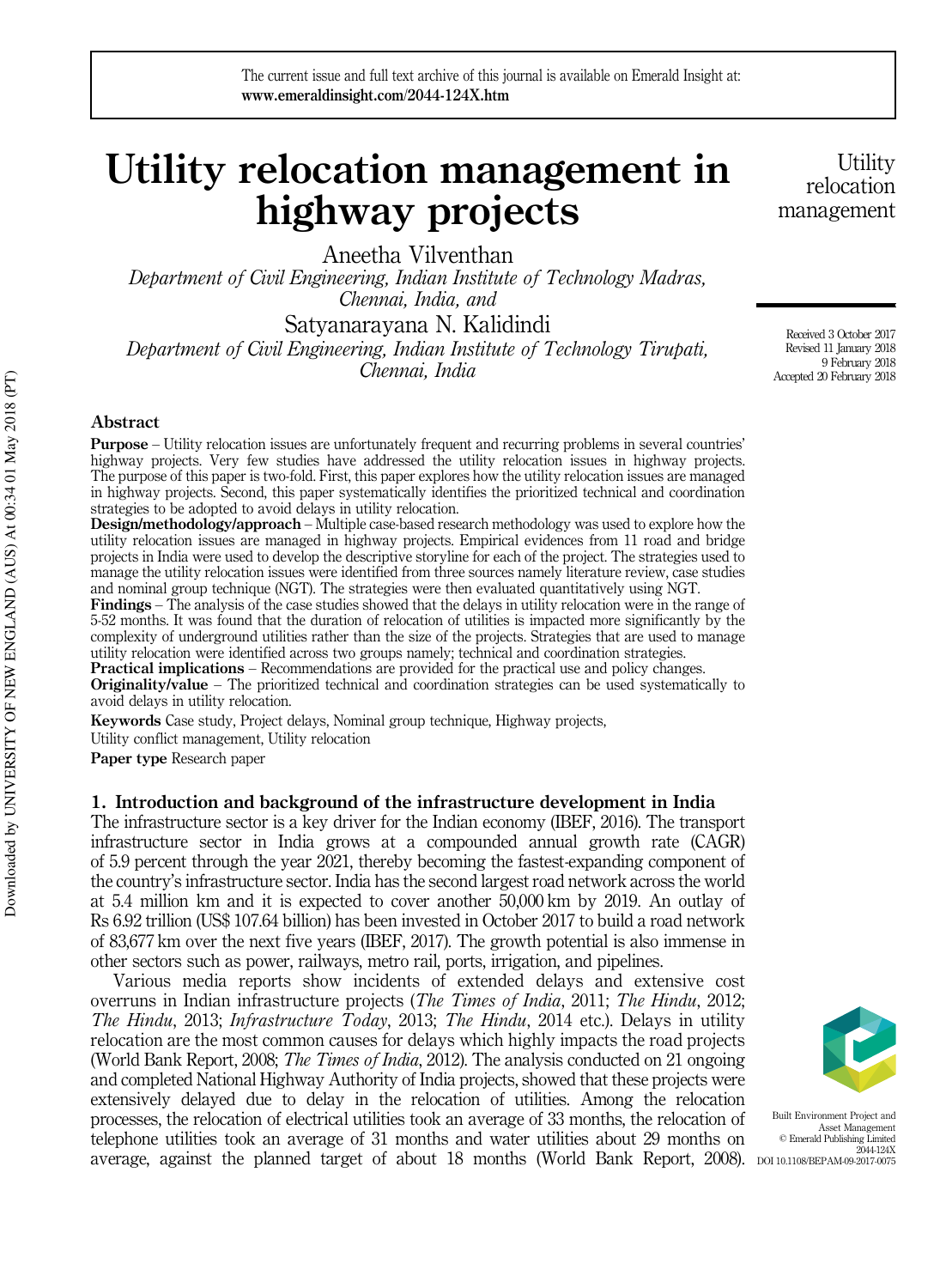# Utility relocation management in highway projects

Aneetha Vilventhan

*Department of Civil Engineering, Indian Institute of Technology Madras, Chennai, India, and*

Satyanarayana N. Kalidindi

*Department of Civil Engineering, Indian Institute of Technology Tirupati, Chennai, India*

# Abstract

Purpose – Utility relocation issues are unfortunately frequent and recurring problems in several countries' highway projects. Very few studies have addressed the utility relocation issues in highway projects. The purpose of this paper is two-fold. First, this paper explores how the utility relocation issues are managed in highway projects. Second, this paper systematically identifies the prioritized technical and coordination strategies to be adopted to avoid delays in utility relocation.

Design/methodology/approach – Multiple case-based research methodology was used to explore how the utility relocation issues are managed in highway projects. Empirical evidences from 11 road and bridge projects in India were used to develop the descriptive storyline for each of the project. The strategies used to manage the utility relocation issues were identified from three sources namely literature review, case studies and nominal group technique (NGT). The strategies were then evaluated quantitatively using NGT.

Findings – The analysis of the case studies showed that the delays in utility relocation were in the range of 5-52 months. It was found that the duration of relocation of utilities is impacted more significantly by the complexity of underground utilities rather than the size of the projects. Strategies that are used to manage utility relocation were identified across two groups namely; technical and coordination strategies.

**Practical implications** – Recommendations are provided for the practical use and policy changes. Originality/value – The prioritized technical and coordination strategies can be used systematically to avoid delays in utility relocation.

Keywords Case study, Project delays, Nominal group technique, Highway projects, Utility conflict management, Utility relocation

Paper type Research paper

#### 1. Introduction and background of the infrastructure development in India

The infrastructure sector is a key driver for the Indian economy (IBEF, 2016). The transport infrastructure sector in India grows at a compounded annual growth rate (CAGR) of 5.9 percent through the year 2021, thereby becoming the fastest-expanding component of the country's infrastructure sector. India has the second largest road network across the world at 5.4 million km and it is expected to cover another 50,000 km by 2019. An outlay of Rs 6.92 trillion (US\$ 107.64 billion) has been invested in October 2017 to build a road network of 83,677 km over the next five years (IBEF, 2017). The growth potential is also immense in other sectors such as power, railways, metro rail, ports, irrigation, and pipelines.

Various media reports show incidents of extended delays and extensive cost overruns in Indian infrastructure projects (*The Times of India*, 2011; *The Hindu*, 2012; *The Hindu*, 2013; *Infrastructure Today*, 2013; *The Hindu*, 2014 etc.). Delays in utility relocation are the most common causes for delays which highly impacts the road projects (World Bank Report, 2008; *The Times of India*, 2012). The analysis conducted on 21 ongoing and completed National Highway Authority of India projects, showed that these projects were extensively delayed due to delay in the relocation of utilities. Among the relocation processes, the relocation of electrical utilities took an average of 33 months, the relocation of telephone utilities took an average of 31 months and water utilities about 29 months on average, against the planned target of about 18 months (World Bank Report, 2008). DOI 10.1108/BEPAM-09-2017-0075



Built Environment Project and Asset Management © Emerald Publishing Limited 2044-124X

Downloaded by UNIVERSITY OF NEW ENGLAND (AUS) At 00:34 01 May 2018 (PT) Downloaded by UNIVERSITY OF NEW ENGLAND (AUS) At 00:34 01 May 2018 (PT)

**Utility** relocation management

Received 3 October 2017 Revised 11 January 2018 9 February 2018 Accepted 20 February 2018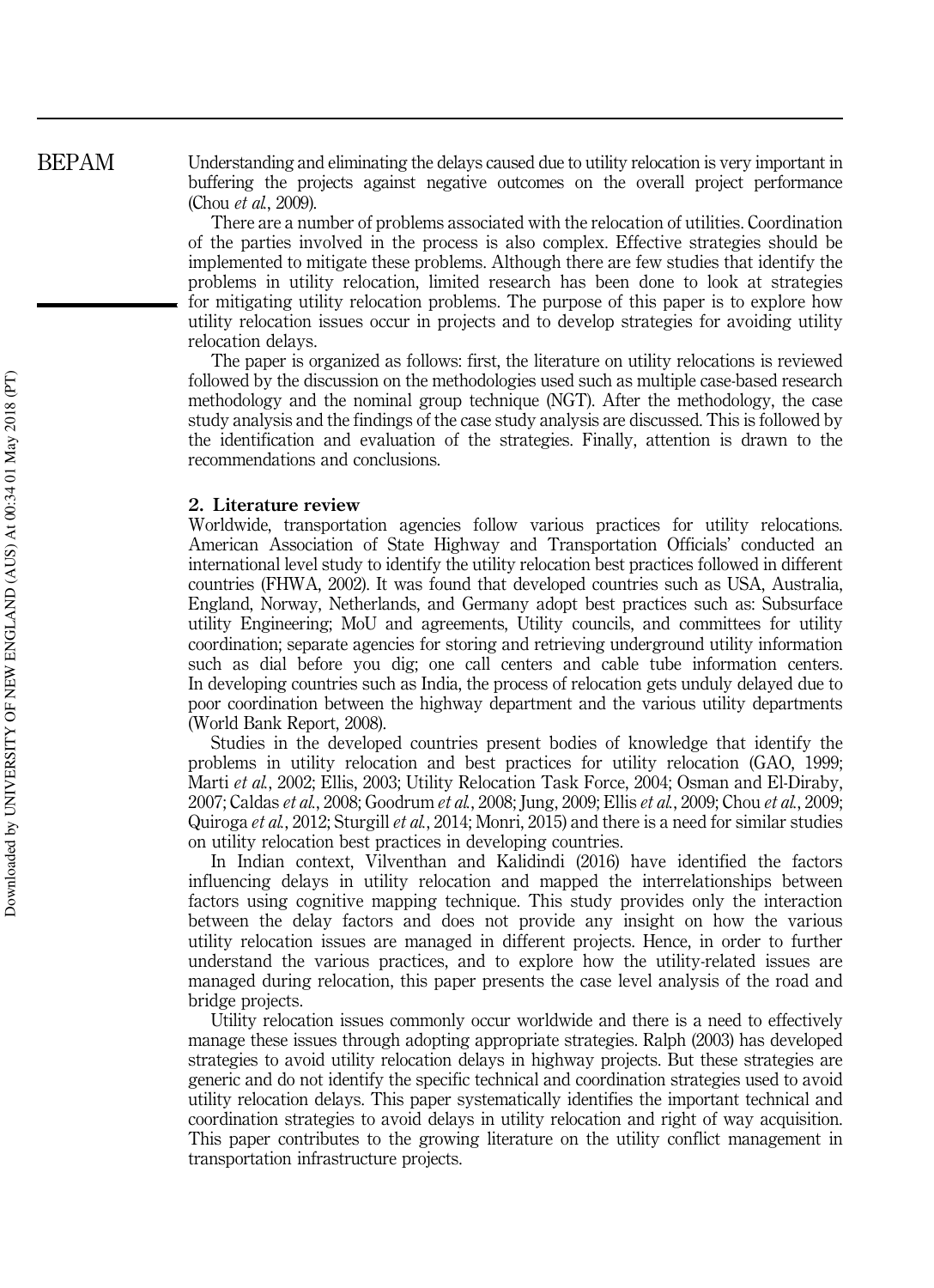Understanding and eliminating the delays caused due to utility relocation is very important in buffering the projects against negative outcomes on the overall project performance (Chou *et al.*, 2009).

There are a number of problems associated with the relocation of utilities. Coordination of the parties involved in the process is also complex. Effective strategies should be implemented to mitigate these problems. Although there are few studies that identify the problems in utility relocation, limited research has been done to look at strategies for mitigating utility relocation problems. The purpose of this paper is to explore how utility relocation issues occur in projects and to develop strategies for avoiding utility relocation delays.

The paper is organized as follows: first, the literature on utility relocations is reviewed followed by the discussion on the methodologies used such as multiple case-based research methodology and the nominal group technique (NGT). After the methodology, the case study analysis and the findings of the case study analysis are discussed. This is followed by the identification and evaluation of the strategies. Finally, attention is drawn to the recommendations and conclusions.

#### 2. Literature review

Worldwide, transportation agencies follow various practices for utility relocations. American Association of State Highway and Transportation Officials' conducted an international level study to identify the utility relocation best practices followed in different countries (FHWA, 2002). It was found that developed countries such as USA, Australia, England, Norway, Netherlands, and Germany adopt best practices such as: Subsurface utility Engineering; MoU and agreements, Utility councils, and committees for utility coordination; separate agencies for storing and retrieving underground utility information such as dial before you dig; one call centers and cable tube information centers. In developing countries such as India, the process of relocation gets unduly delayed due to poor coordination between the highway department and the various utility departments (World Bank Report, 2008).

Studies in the developed countries present bodies of knowledge that identify the problems in utility relocation and best practices for utility relocation (GAO, 1999; Marti *et al.*, 2002; Ellis, 2003; Utility Relocation Task Force, 2004; Osman and El-Diraby, 2007; Caldas *et al.*, 2008; Goodrum *et al.*, 2008; Jung, 2009; Ellis *et al.*, 2009; Chou *et al.*, 2009; Quiroga *et al.*, 2012; Sturgill *et al.*, 2014; Monri, 2015) and there is a need for similar studies on utility relocation best practices in developing countries.

In Indian context, Vilventhan and Kalidindi (2016) have identified the factors influencing delays in utility relocation and mapped the interrelationships between factors using cognitive mapping technique. This study provides only the interaction between the delay factors and does not provide any insight on how the various utility relocation issues are managed in different projects. Hence, in order to further understand the various practices, and to explore how the utility-related issues are managed during relocation, this paper presents the case level analysis of the road and bridge projects.

Utility relocation issues commonly occur worldwide and there is a need to effectively manage these issues through adopting appropriate strategies. Ralph (2003) has developed strategies to avoid utility relocation delays in highway projects. But these strategies are generic and do not identify the specific technical and coordination strategies used to avoid utility relocation delays. This paper systematically identifies the important technical and coordination strategies to avoid delays in utility relocation and right of way acquisition. This paper contributes to the growing literature on the utility conflict management in transportation infrastructure projects.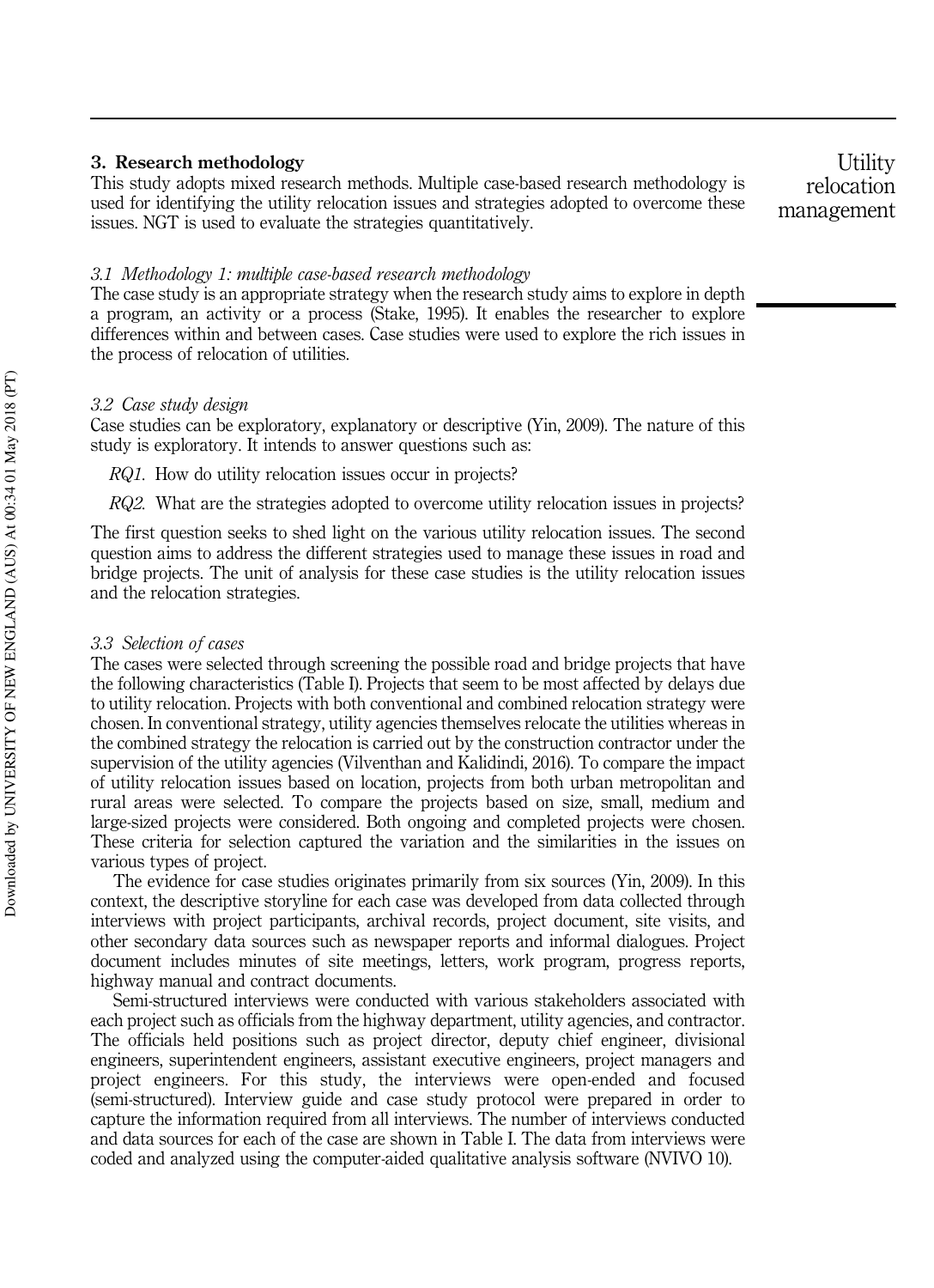## 3. Research methodology

This study adopts mixed research methods. Multiple case-based research methodology is used for identifying the utility relocation issues and strategies adopted to overcome these issues. NGT is used to evaluate the strategies quantitatively.

## *3.1 Methodology 1: multiple case-based research methodology*

The case study is an appropriate strategy when the research study aims to explore in depth a program, an activity or a process (Stake, 1995). It enables the researcher to explore differences within and between cases. Case studies were used to explore the rich issues in the process of relocation of utilities.

#### *3.2 Case study design*

Case studies can be exploratory, explanatory or descriptive (Yin, 2009). The nature of this study is exploratory. It intends to answer questions such as:

*RQ1.* How do utility relocation issues occur in projects?

*RQ2.* What are the strategies adopted to overcome utility relocation issues in projects?

The first question seeks to shed light on the various utility relocation issues. The second question aims to address the different strategies used to manage these issues in road and bridge projects. The unit of analysis for these case studies is the utility relocation issues and the relocation strategies.

#### *3.3 Selection of cases*

The cases were selected through screening the possible road and bridge projects that have the following characteristics (Table I). Projects that seem to be most affected by delays due to utility relocation. Projects with both conventional and combined relocation strategy were chosen. In conventional strategy, utility agencies themselves relocate the utilities whereas in the combined strategy the relocation is carried out by the construction contractor under the supervision of the utility agencies (Vilventhan and Kalidindi, 2016). To compare the impact of utility relocation issues based on location, projects from both urban metropolitan and rural areas were selected. To compare the projects based on size, small, medium and large-sized projects were considered. Both ongoing and completed projects were chosen. These criteria for selection captured the variation and the similarities in the issues on various types of project.

The evidence for case studies originates primarily from six sources (Yin, 2009). In this context, the descriptive storyline for each case was developed from data collected through interviews with project participants, archival records, project document, site visits, and other secondary data sources such as newspaper reports and informal dialogues. Project document includes minutes of site meetings, letters, work program, progress reports, highway manual and contract documents.

Semi-structured interviews were conducted with various stakeholders associated with each project such as officials from the highway department, utility agencies, and contractor. The officials held positions such as project director, deputy chief engineer, divisional engineers, superintendent engineers, assistant executive engineers, project managers and project engineers. For this study, the interviews were open-ended and focused (semi-structured). Interview guide and case study protocol were prepared in order to capture the information required from all interviews. The number of interviews conducted and data sources for each of the case are shown in Table I. The data from interviews were coded and analyzed using the computer-aided qualitative analysis software (NVIVO 10).

**Utility** relocation management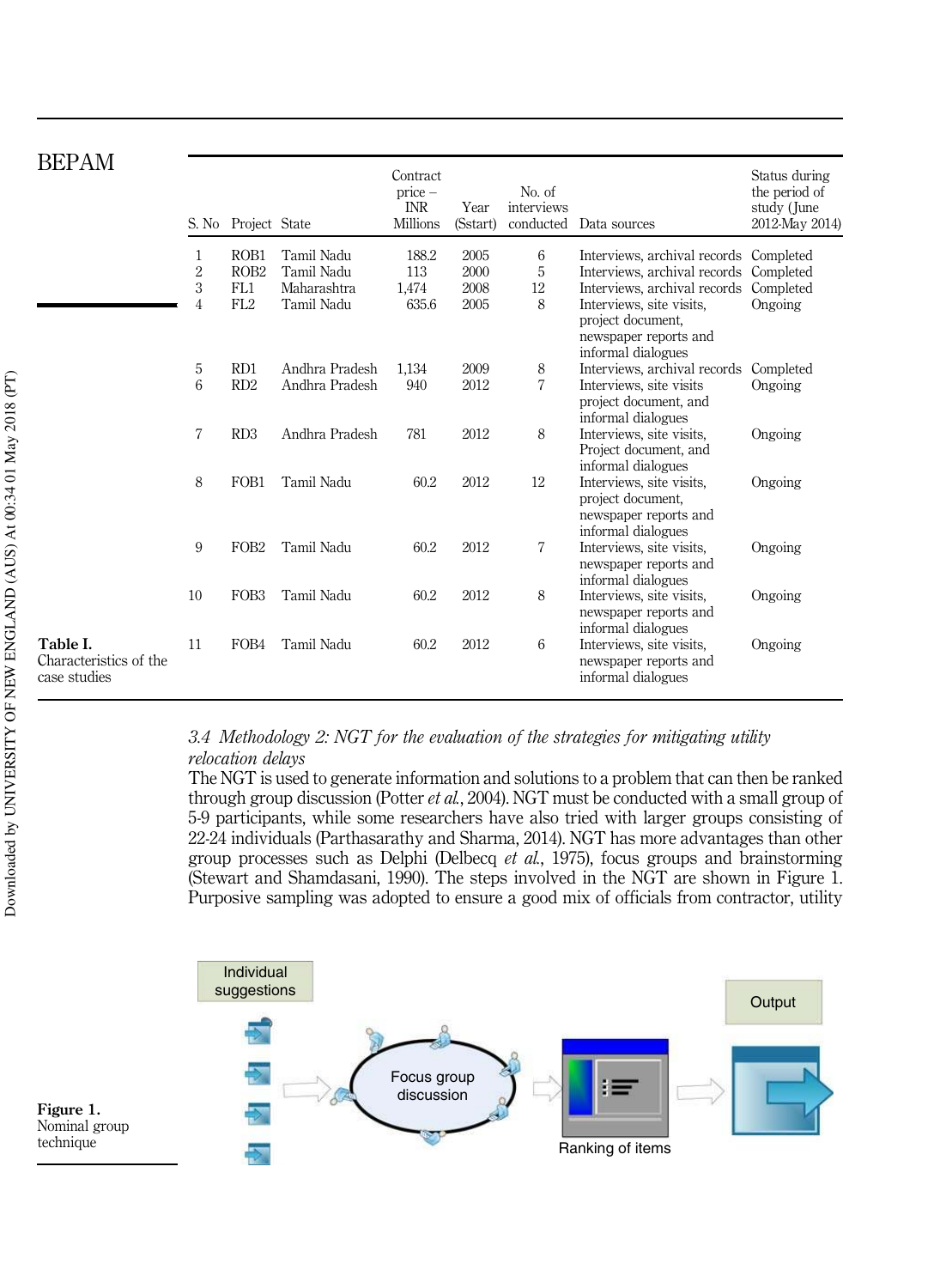# **BF**

| <b>BEPAM</b>                                       |                | S. No Project State |                | Contract<br>$price -$<br><b>INR</b><br><b>Millions</b> | Year<br>(Sstart) | No. of<br>interviews | conducted Data sources                                                                       | Status during<br>the period of<br>study (June<br>2012-May 2014) |
|----------------------------------------------------|----------------|---------------------|----------------|--------------------------------------------------------|------------------|----------------------|----------------------------------------------------------------------------------------------|-----------------------------------------------------------------|
|                                                    | 1              | ROB1                | Tamil Nadu     | 188.2                                                  | 2005             | 6                    | Interviews, archival records Completed                                                       |                                                                 |
|                                                    | $\overline{2}$ | ROB <sub>2</sub>    | Tamil Nadu     | 113                                                    | 2000             | 5                    | Interviews, archival records Completed                                                       |                                                                 |
|                                                    | 3              | FL1                 | Maharashtra    | 1,474                                                  | 2008             | 12                   | Interviews, archival records Completed                                                       |                                                                 |
|                                                    | $\overline{4}$ | FL2                 | Tamil Nadu     | 635.6                                                  | 2005             | 8                    | Interviews, site visits,<br>project document,<br>newspaper reports and                       | Ongoing                                                         |
|                                                    |                |                     |                |                                                        |                  |                      | informal dialogues                                                                           |                                                                 |
|                                                    | 5              | RD1                 | Andhra Pradesh | 1,134                                                  | 2009             | 8                    | Interviews, archival records Completed                                                       |                                                                 |
|                                                    | 6              | RD2                 | Andhra Pradesh | 940                                                    | 2012             | 7                    | Interviews, site visits<br>project document, and<br>informal dialogues                       | Ongoing                                                         |
|                                                    | 7              | RD3                 | Andhra Pradesh | 781                                                    | 2012             | 8                    | Interviews, site visits,<br>Project document, and<br>informal dialogues                      | Ongoing                                                         |
|                                                    | 8              | FOB1                | Tamil Nadu     | 60.2                                                   | 2012             | 12                   | Interviews, site visits,<br>project document,<br>newspaper reports and<br>informal dialogues | Ongoing                                                         |
|                                                    | 9              | FOB <sub>2</sub>    | Tamil Nadu     | 60.2                                                   | 2012             | 7                    | Interviews, site visits,<br>newspaper reports and<br>informal dialogues                      | Ongoing                                                         |
|                                                    | 10             | FOB <sub>3</sub>    | Tamil Nadu     | 60.2                                                   | 2012             | 8                    | Interviews, site visits,<br>newspaper reports and<br>informal dialogues                      | Ongoing                                                         |
| Table I.<br>Characteristics of the<br>case studies | 11             | FOB <sub>4</sub>    | Tamil Nadu     | 60.2                                                   | 2012             | 6                    | Interviews, site visits,<br>newspaper reports and<br>informal dialogues                      | Ongoing                                                         |

*3.4 Methodology 2: NGT for the evaluation of the strategies for mitigating utility relocation delays*

The NGT is used to generate information and solutions to a problem that can then be ranked through group discussion (Potter *et al.*, 2004). NGT must be conducted with a small group of 5-9 participants, while some researchers have also tried with larger groups consisting of 22-24 individuals (Parthasarathy and Sharma, 2014). NGT has more advantages than other group processes such as Delphi (Delbecq *et al.*, 1975), focus groups and brainstorming (Stewart and Shamdasani, 1990). The steps involved in the NGT are shown in Figure 1. Purposive sampling was adopted to ensure a good mix of officials from contractor, utility



Downloaded by UNIVERSITY OF NEW ENGLAND (AUS) At 00:34 01 May 2018 (PT) Downloaded by UNIVERSITY OF NEW ENGLAND (AUS) At 00:34 01 May 2018 (PT)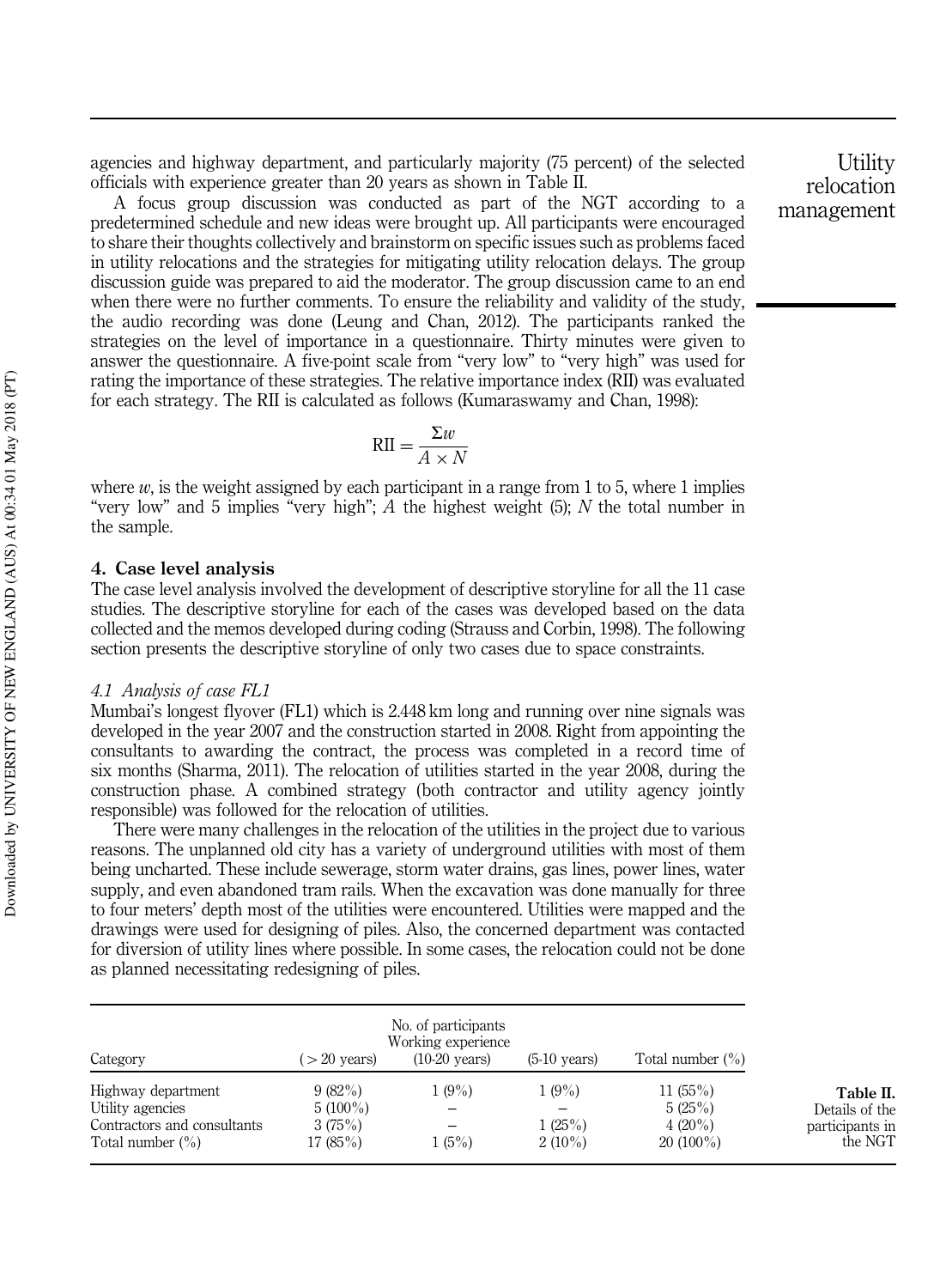agencies and highway department, and particularly majority (75 percent) of the selected officials with experience greater than 20 years as shown in Table II.

A focus group discussion was conducted as part of the NGT according to a predetermined schedule and new ideas were brought up. All participants were encouraged to share their thoughts collectively and brainstorm on specific issues such as problems faced in utility relocations and the strategies for mitigating utility relocation delays. The group discussion guide was prepared to aid the moderator. The group discussion came to an end when there were no further comments. To ensure the reliability and validity of the study, the audio recording was done (Leung and Chan, 2012). The participants ranked the strategies on the level of importance in a questionnaire. Thirty minutes were given to answer the questionnaire. A five-point scale from "very low" to "very high" was used for rating the importance of these strategies. The relative importance index (RII) was evaluated for each strategy. The RII is calculated as follows (Kumaraswamy and Chan, 1998):

$$
\text{RII} = \frac{\Sigma w}{A \times N}
$$

where  $w$ , is the weight assigned by each participant in a range from 1 to 5, where 1 implies "very low" and 5 implies "very high"; *A* the highest weight (5); *N* the total number in the sample.

## 4. Case level analysis

The case level analysis involved the development of descriptive storyline for all the 11 case studies. The descriptive storyline for each of the cases was developed based on the data collected and the memos developed during coding (Strauss and Corbin, 1998). The following section presents the descriptive storyline of only two cases due to space constraints.

#### *4.1 Analysis of case FL1*

Mumbai's longest flyover (FL1) which is 2.448 km long and running over nine signals was developed in the year 2007 and the construction started in 2008. Right from appointing the consultants to awarding the contract, the process was completed in a record time of six months (Sharma, 2011). The relocation of utilities started in the year 2008, during the construction phase. A combined strategy (both contractor and utility agency jointly responsible) was followed for the relocation of utilities.

There were many challenges in the relocation of the utilities in the project due to various reasons. The unplanned old city has a variety of underground utilities with most of them being uncharted. These include sewerage, storm water drains, gas lines, power lines, water supply, and even abandoned tram rails. When the excavation was done manually for three to four meters' depth most of the utilities were encountered. Utilities were mapped and the drawings were used for designing of piles. Also, the concerned department was contacted for diversion of utility lines where possible. In some cases, the relocation could not be done as planned necessitating redesigning of piles.

| Category                    | $>20$ years) | No. of participants<br>Working experience<br>$(10-20 \text{ years})$ | $(5-10 \text{ years})$ | Total number $(\%)$ |                 |
|-----------------------------|--------------|----------------------------------------------------------------------|------------------------|---------------------|-----------------|
| Highway department          | 9(82%)       | 1(9%)                                                                | 1(9%)                  | 11(55%)             | Table II.       |
| Utility agencies            | $5(100\%)$   |                                                                      |                        | 5(25%)              | Details of the  |
| Contractors and consultants | 3(75%)       |                                                                      | 1(25%)                 | $4(20\%)$           | participants in |
| Total number $(\% )$        | 17 (85%)     | 1(5%)                                                                | $2(10\%)$              | $20(100\%)$         | the NGT         |

**Utility** relocation management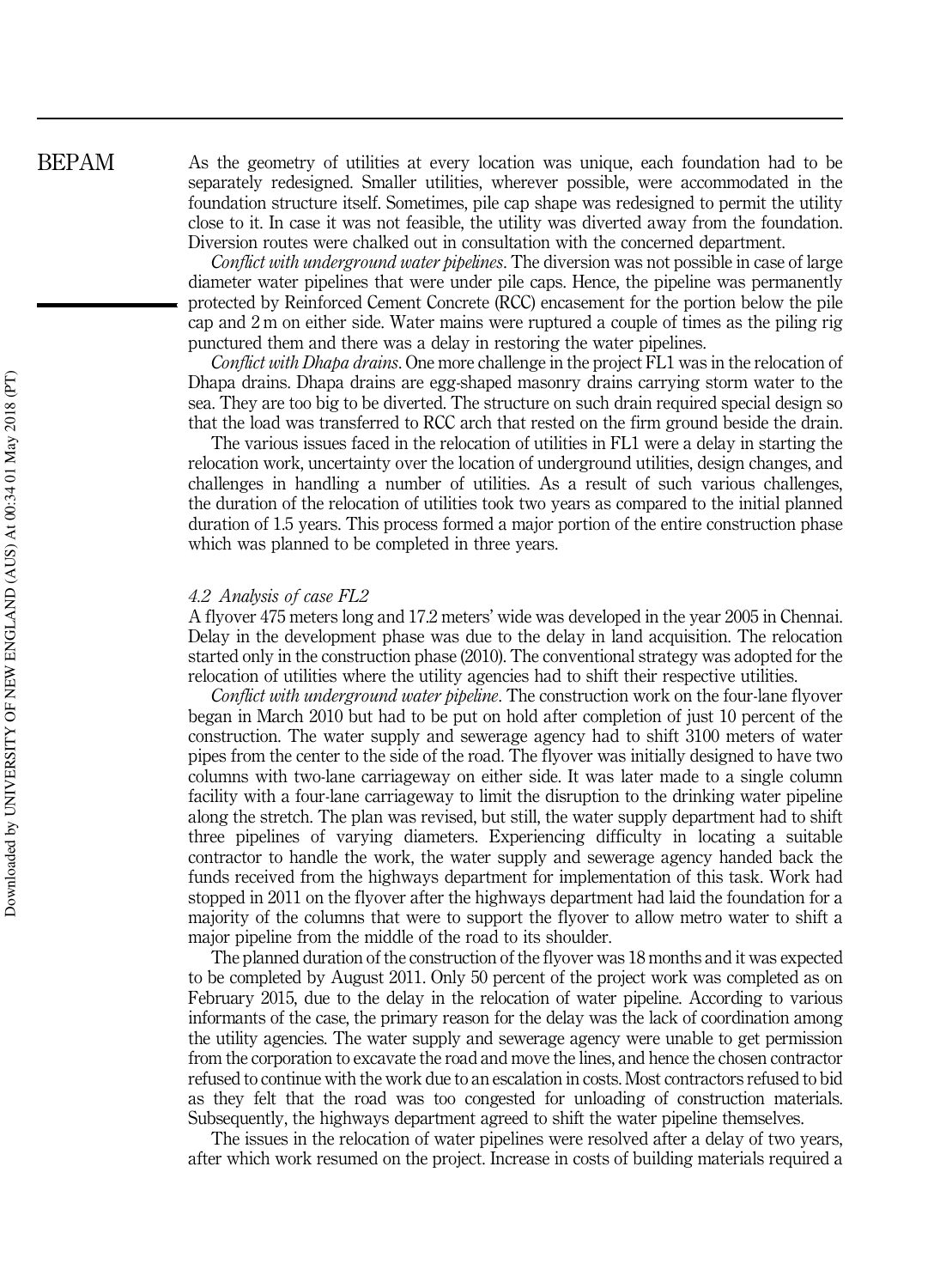As the geometry of utilities at every location was unique, each foundation had to be separately redesigned. Smaller utilities, wherever possible, were accommodated in the foundation structure itself. Sometimes, pile cap shape was redesigned to permit the utility close to it. In case it was not feasible, the utility was diverted away from the foundation. Diversion routes were chalked out in consultation with the concerned department.

*Conflict with underground water pipelines*. The diversion was not possible in case of large diameter water pipelines that were under pile caps. Hence, the pipeline was permanently protected by Reinforced Cement Concrete (RCC) encasement for the portion below the pile cap and 2 m on either side. Water mains were ruptured a couple of times as the piling rig punctured them and there was a delay in restoring the water pipelines.

*Conflict with Dhapa drains*. One more challenge in the project FL1 was in the relocation of Dhapa drains. Dhapa drains are egg-shaped masonry drains carrying storm water to the sea. They are too big to be diverted. The structure on such drain required special design so that the load was transferred to RCC arch that rested on the firm ground beside the drain.

The various issues faced in the relocation of utilities in FL1 were a delay in starting the relocation work, uncertainty over the location of underground utilities, design changes, and challenges in handling a number of utilities. As a result of such various challenges, the duration of the relocation of utilities took two years as compared to the initial planned duration of 1.5 years. This process formed a major portion of the entire construction phase which was planned to be completed in three years.

#### *4.2 Analysis of case FL2*

A flyover 475 meters long and 17.2 meters' wide was developed in the year 2005 in Chennai. Delay in the development phase was due to the delay in land acquisition. The relocation started only in the construction phase (2010). The conventional strategy was adopted for the relocation of utilities where the utility agencies had to shift their respective utilities.

*Conflict with underground water pipeline*. The construction work on the four-lane flyover began in March 2010 but had to be put on hold after completion of just 10 percent of the construction. The water supply and sewerage agency had to shift 3100 meters of water pipes from the center to the side of the road. The flyover was initially designed to have two columns with two-lane carriageway on either side. It was later made to a single column facility with a four-lane carriageway to limit the disruption to the drinking water pipeline along the stretch. The plan was revised, but still, the water supply department had to shift three pipelines of varying diameters. Experiencing difficulty in locating a suitable contractor to handle the work, the water supply and sewerage agency handed back the funds received from the highways department for implementation of this task. Work had stopped in 2011 on the flyover after the highways department had laid the foundation for a majority of the columns that were to support the flyover to allow metro water to shift a major pipeline from the middle of the road to its shoulder.

The planned duration of the construction of the flyover was 18 months and it was expected to be completed by August 2011. Only 50 percent of the project work was completed as on February 2015, due to the delay in the relocation of water pipeline. According to various informants of the case, the primary reason for the delay was the lack of coordination among the utility agencies. The water supply and sewerage agency were unable to get permission from the corporation to excavate the road and move the lines, and hence the chosen contractor refused to continue with the work due to an escalation in costs. Most contractors refused to bid as they felt that the road was too congested for unloading of construction materials. Subsequently, the highways department agreed to shift the water pipeline themselves.

The issues in the relocation of water pipelines were resolved after a delay of two years, after which work resumed on the project. Increase in costs of building materials required a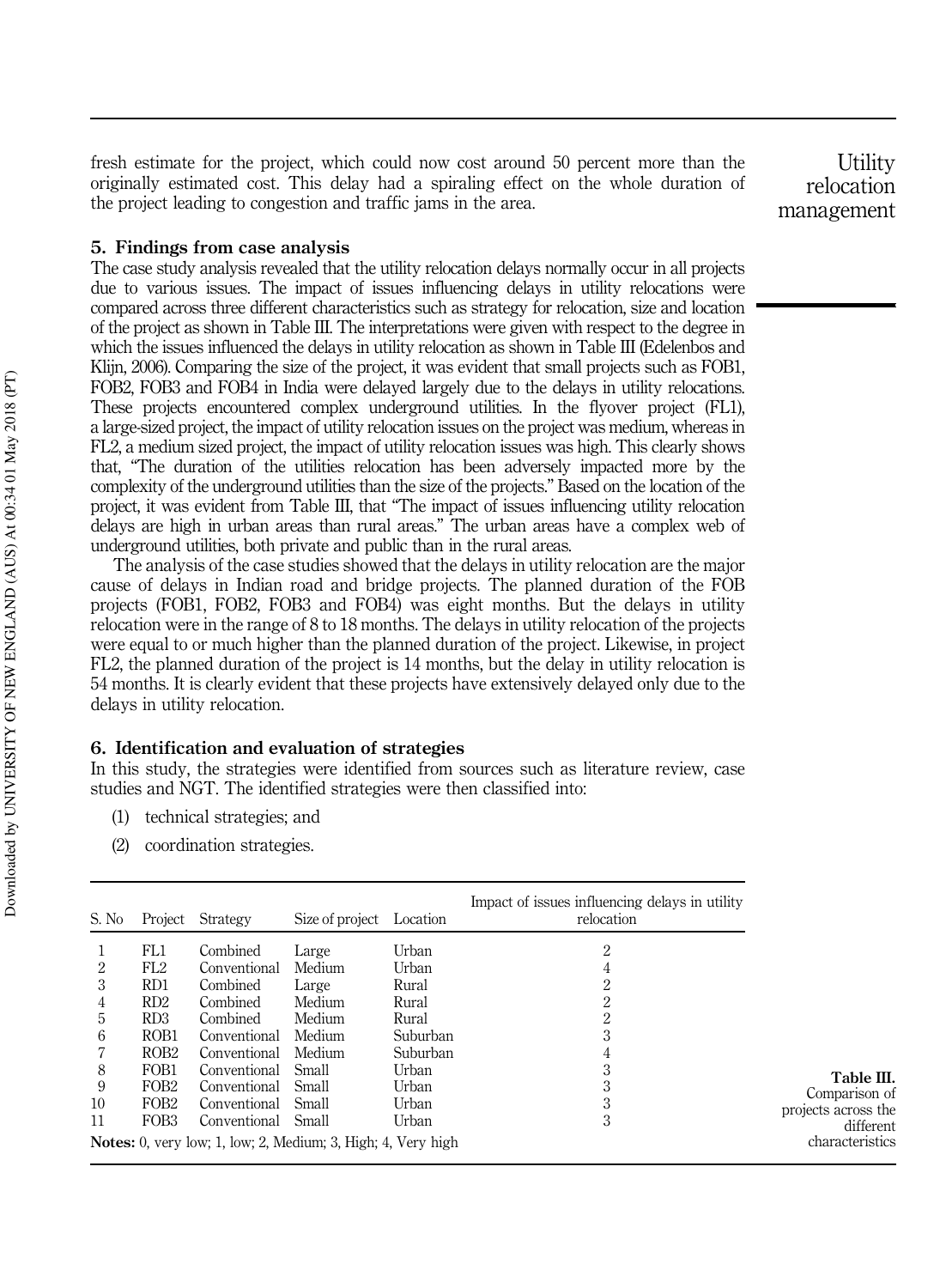fresh estimate for the project, which could now cost around 50 percent more than the originally estimated cost. This delay had a spiraling effect on the whole duration of the project leading to congestion and traffic jams in the area.

**Utility** relocation management

Table III. Comparison of projects across the different characteristics

#### 5. Findings from case analysis

The case study analysis revealed that the utility relocation delays normally occur in all projects due to various issues. The impact of issues influencing delays in utility relocations were compared across three different characteristics such as strategy for relocation, size and location of the project as shown in Table III. The interpretations were given with respect to the degree in which the issues influenced the delays in utility relocation as shown in Table III (Edelenbos and Klijn, 2006). Comparing the size of the project, it was evident that small projects such as FOB1, FOB2, FOB3 and FOB4 in India were delayed largely due to the delays in utility relocations. These projects encountered complex underground utilities. In the flyover project (FL1), a large-sized project, the impact of utility relocation issues on the project was medium, whereas in FL2, a medium sized project, the impact of utility relocation issues was high. This clearly shows that, "The duration of the utilities relocation has been adversely impacted more by the complexity of the underground utilities than the size of the projects." Based on the location of the project, it was evident from Table III, that "The impact of issues influencing utility relocation delays are high in urban areas than rural areas." The urban areas have a complex web of underground utilities, both private and public than in the rural areas.

The analysis of the case studies showed that the delays in utility relocation are the major cause of delays in Indian road and bridge projects. The planned duration of the FOB projects (FOB1, FOB2, FOB3 and FOB4) was eight months. But the delays in utility relocation were in the range of 8 to 18 months. The delays in utility relocation of the projects were equal to or much higher than the planned duration of the project. Likewise, in project FL2, the planned duration of the project is 14 months, but the delay in utility relocation is 54 months. It is clearly evident that these projects have extensively delayed only due to the delays in utility relocation.

#### 6. Identification and evaluation of strategies

In this study, the strategies were identified from sources such as literature review, case studies and NGT. The identified strategies were then classified into:

- (1) technical strategies; and
- (2) coordination strategies.

| S. No | Project          | Strategy     | Size of project                                                     | Location | Impact of issues influencing delays in utility<br>relocation |
|-------|------------------|--------------|---------------------------------------------------------------------|----------|--------------------------------------------------------------|
|       | FL1              | Combined     | Large                                                               | Urban    | 2                                                            |
| 2     | FL2              | Conventional | Medium                                                              | Urban    | 4                                                            |
| 3     | RD1              | Combined     | Large                                                               | Rural    | 2                                                            |
| 4     | RD2              | Combined     | Medium                                                              | Rural    | 2                                                            |
| 5     | RD <sub>3</sub>  | Combined     | Medium                                                              | Rural    | 2                                                            |
| 6     | ROB <sub>1</sub> | Conventional | Medium                                                              | Suburban | 3                                                            |
| 7     | ROB <sub>2</sub> | Conventional | Medium                                                              | Suburban | 4                                                            |
| 8     | FOB <sub>1</sub> | Conventional | Small                                                               | Urban    | 3                                                            |
| 9     | FOB <sub>2</sub> | Conventional | Small                                                               | Urban    | 3                                                            |
| 10    | FOB <sub>2</sub> | Conventional | Small                                                               | Urban    | 3                                                            |
| 11    | FOB <sub>3</sub> | Conventional | Small                                                               | Urban    | 3                                                            |
|       |                  |              | <b>Notes:</b> 0, very low; 1, low; 2, Medium; 3, High; 4, Very high |          |                                                              |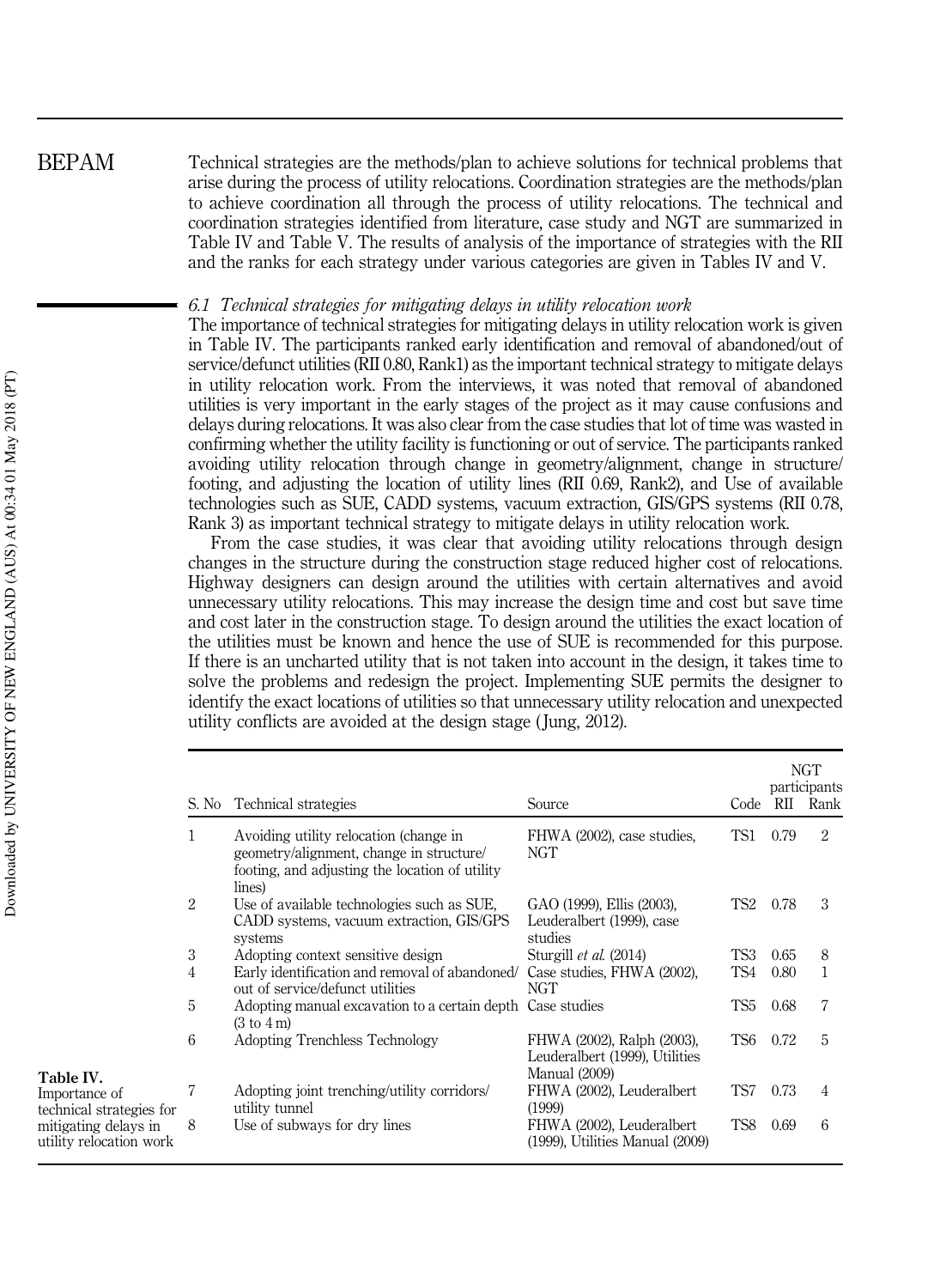# BEPAM

Technical strategies are the methods/plan to achieve solutions for technical problems that arise during the process of utility relocations. Coordination strategies are the methods/plan to achieve coordination all through the process of utility relocations. The technical and coordination strategies identified from literature, case study and NGT are summarized in Table IV and Table V. The results of analysis of the importance of strategies with the RII and the ranks for each strategy under various categories are given in Tables IV and V.

## *6.1 Technical strategies for mitigating delays in utility relocation work*

The importance of technical strategies for mitigating delays in utility relocation work is given in Table IV. The participants ranked early identification and removal of abandoned/out of service/defunct utilities (RII 0.80, Rank1) as the important technical strategy to mitigate delays in utility relocation work. From the interviews, it was noted that removal of abandoned utilities is very important in the early stages of the project as it may cause confusions and delays during relocations. It was also clear from the case studies that lot of time was wasted in confirming whether the utility facility is functioning or out of service. The participants ranked avoiding utility relocation through change in geometry/alignment, change in structure/ footing, and adjusting the location of utility lines (RII 0.69, Rank2), and Use of available technologies such as SUE, CADD systems, vacuum extraction, GIS/GPS systems (RII 0.78, Rank 3) as important technical strategy to mitigate delays in utility relocation work.

From the case studies, it was clear that avoiding utility relocations through design changes in the structure during the construction stage reduced higher cost of relocations. Highway designers can design around the utilities with certain alternatives and avoid unnecessary utility relocations. This may increase the design time and cost but save time and cost later in the construction stage. To design around the utilities the exact location of the utilities must be known and hence the use of SUE is recommended for this purpose. If there is an uncharted utility that is not taken into account in the design, it takes time to solve the problems and redesign the project. Implementing SUE permits the designer to identify the exact locations of utilities so that unnecessary utility relocation and unexpected utility conflicts are avoided at the design stage ( Jung, 2012).

|                                                 |                | S. No Technical strategies                                                                                                                     | Source                                                                               | Code            | RII  | <b>NGT</b><br>participants<br>Rank |
|-------------------------------------------------|----------------|------------------------------------------------------------------------------------------------------------------------------------------------|--------------------------------------------------------------------------------------|-----------------|------|------------------------------------|
|                                                 | 1              | Avoiding utility relocation (change in<br>geometry/alignment, change in structure/<br>footing, and adjusting the location of utility<br>lines) | FHWA (2002), case studies,<br>NGT                                                    | TS1             | 0.79 | 2                                  |
|                                                 | $\overline{2}$ | Use of available technologies such as SUE,<br>CADD systems, vacuum extraction, GIS/GPS<br>systems                                              | GAO (1999), Ellis (2003),<br>Leuderalbert (1999), case<br>studies                    | TS <sub>2</sub> | 0.78 | 3                                  |
|                                                 | 3              | Adopting context sensitive design                                                                                                              | Sturgill et al. (2014)                                                               | TS3             | 0.65 | 8                                  |
|                                                 | 4              | Early identification and removal of abandoned/<br>out of service/defunct utilities                                                             | Case studies, FHWA (2002),<br><b>NGT</b>                                             | TS4             | 0.80 |                                    |
|                                                 | 5              | Adopting manual excavation to a certain depth Case studies<br>$(3 \text{ to } 4 \text{ m})$                                                    |                                                                                      | TS5             | 0.68 |                                    |
| Table IV.                                       | 6              | <b>Adopting Trenchless Technology</b>                                                                                                          | FHWA (2002), Ralph (2003),<br>Leuderalbert (1999), Utilities<br><b>Manual</b> (2009) | TS6             | 0.72 | 5                                  |
| Importance of<br>technical strategies for       | 7              | Adopting joint trenching/utility corridors/<br>utility tunnel                                                                                  | FHWA (2002), Leuderalbert<br>(1999)                                                  | TS7             | 0.73 | 4                                  |
| mitigating delays in<br>utility relocation work | 8              | Use of subways for dry lines                                                                                                                   | FHWA (2002), Leuderalbert<br>$(1999)$ , Utilities Manual $(2009)$                    | TS8             | 0.69 | 6                                  |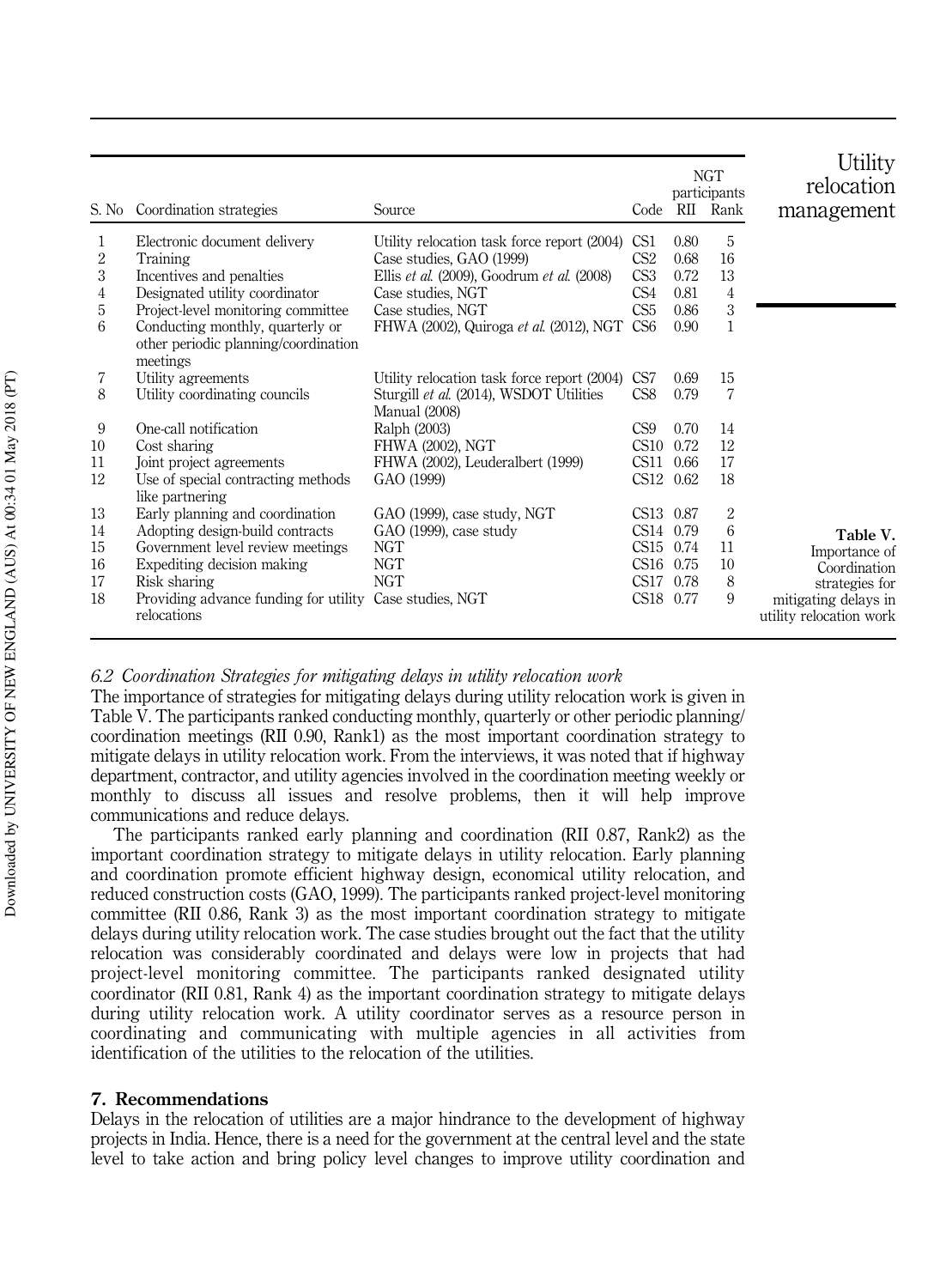| S. No | Coordination strategies                                                              | Source                                                   | Code            |      | <b>NGT</b><br>participants<br>RII Rank | Utility<br>relocation<br>management             |
|-------|--------------------------------------------------------------------------------------|----------------------------------------------------------|-----------------|------|----------------------------------------|-------------------------------------------------|
| 1     | Electronic document delivery                                                         | Utility relocation task force report (2004)              | CS <sub>1</sub> | 0.80 | 5                                      |                                                 |
| 2     | Training                                                                             | Case studies, GAO (1999)                                 | CS <sub>2</sub> | 0.68 | 16                                     |                                                 |
| 3     | Incentives and penalties                                                             | Ellis et al. (2009), Goodrum et al. (2008)               | CS <sub>3</sub> | 0.72 | 13                                     |                                                 |
| 4     | Designated utility coordinator                                                       | Case studies, NGT                                        | CS4             | 0.81 | 4                                      |                                                 |
| 5     | Project-level monitoring committee                                                   | Case studies, NGT                                        | CS5             | 0.86 | 3                                      |                                                 |
| 6     | Conducting monthly, quarterly or<br>other periodic planning/coordination<br>meetings | FHWA (2002), Quiroga et al. (2012), NGT                  | CS <sub>6</sub> | 0.90 | $\mathbf{1}$                           |                                                 |
| 7     | Utility agreements                                                                   | Utility relocation task force report (2004)              | CS <sub>7</sub> | 0.69 | 15                                     |                                                 |
| 8     | Utility coordinating councils                                                        | Sturgill et al. (2014), WSDOT Utilities<br>Manual (2008) | CS <sub>8</sub> | 0.79 | 7                                      |                                                 |
| 9     | One-call notification                                                                | Ralph (2003)                                             | CS <sub>9</sub> | 0.70 | 14                                     |                                                 |
| 10    | Cost sharing                                                                         | FHWA (2002), NGT                                         | CS10            | 0.72 | 12                                     |                                                 |
| 11    | Joint project agreements                                                             | FHWA (2002), Leuderalbert (1999)                         | CS11            | 0.66 | 17                                     |                                                 |
| 12    | Use of special contracting methods<br>like partnering                                | GAO (1999)                                               | CS12 0.62       |      | 18                                     |                                                 |
| 13    | Early planning and coordination                                                      | GAO (1999), case study, NGT                              | CS13 0.87       |      | $\overline{2}$                         |                                                 |
| 14    | Adopting design-build contracts                                                      | GAO (1999), case study                                   | CS14            | 0.79 | 6                                      | Table V.                                        |
| 15    | Government level review meetings                                                     | <b>NGT</b>                                               | CS15            | 0.74 | 11                                     | Importance of                                   |
| 16    | Expediting decision making                                                           | <b>NGT</b>                                               | CS16 0.75       |      | 10                                     | Coordination                                    |
| 17    | Risk sharing                                                                         | <b>NGT</b>                                               | CS17            | 0.78 | 8                                      | strategies for                                  |
| 18    | Providing advance funding for utility Case studies, NGT<br>relocations               |                                                          | CS18 0.77       |      | 9                                      | mitigating delays in<br>utility relocation work |

## *6.2 Coordination Strategies for mitigating delays in utility relocation work*

The importance of strategies for mitigating delays during utility relocation work is given in Table V. The participants ranked conducting monthly, quarterly or other periodic planning/ coordination meetings (RII 0.90, Rank1) as the most important coordination strategy to mitigate delays in utility relocation work. From the interviews, it was noted that if highway department, contractor, and utility agencies involved in the coordination meeting weekly or monthly to discuss all issues and resolve problems, then it will help improve communications and reduce delays.

The participants ranked early planning and coordination (RII 0.87, Rank2) as the important coordination strategy to mitigate delays in utility relocation. Early planning and coordination promote efficient highway design, economical utility relocation, and reduced construction costs (GAO, 1999). The participants ranked project-level monitoring committee (RII 0.86, Rank 3) as the most important coordination strategy to mitigate delays during utility relocation work. The case studies brought out the fact that the utility relocation was considerably coordinated and delays were low in projects that had project-level monitoring committee. The participants ranked designated utility coordinator (RII 0.81, Rank 4) as the important coordination strategy to mitigate delays during utility relocation work. A utility coordinator serves as a resource person in coordinating and communicating with multiple agencies in all activities from identification of the utilities to the relocation of the utilities.

# 7. Recommendations

Delays in the relocation of utilities are a major hindrance to the development of highway projects in India. Hence, there is a need for the government at the central level and the state level to take action and bring policy level changes to improve utility coordination and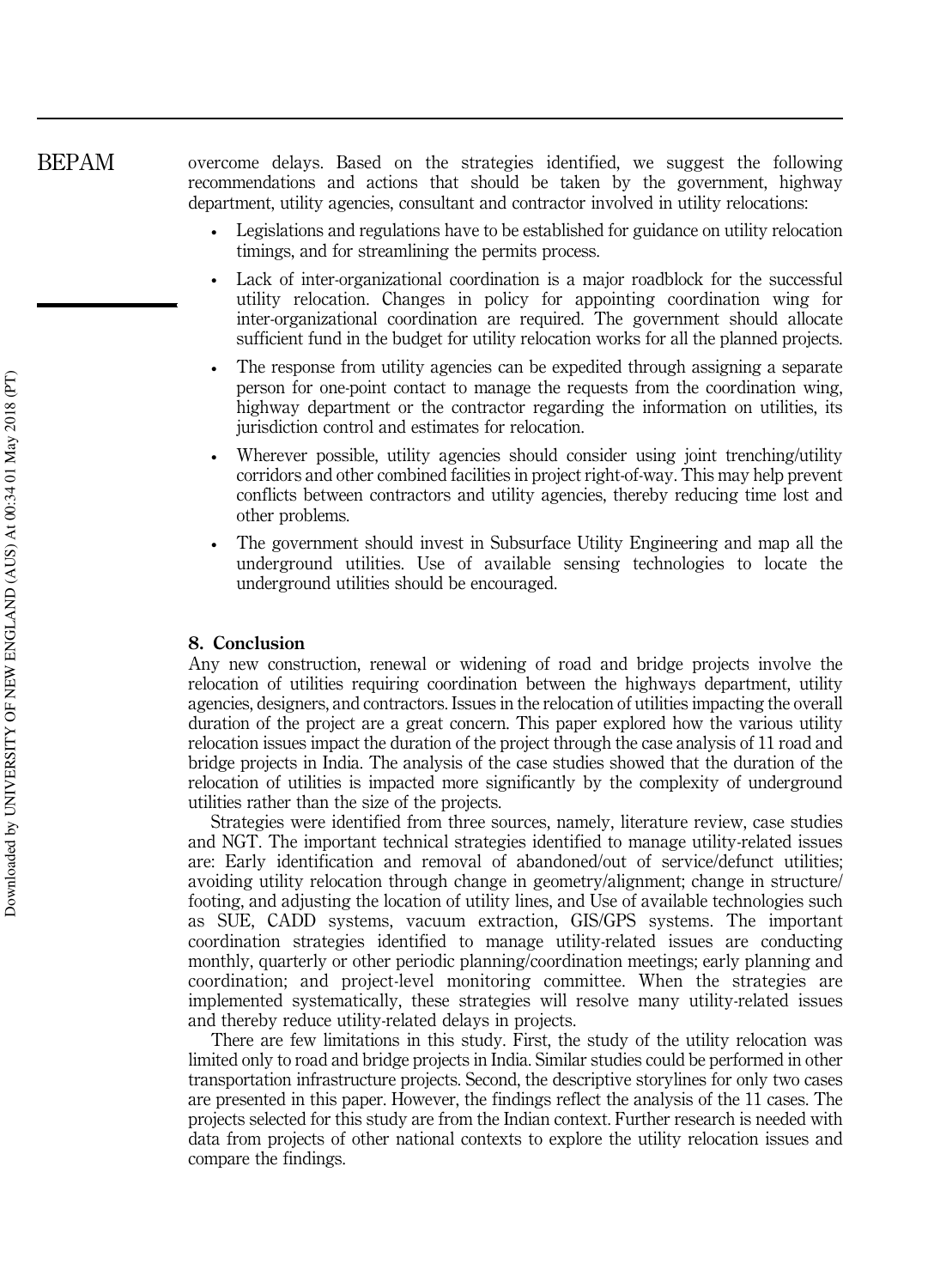#### overcome delays. Based on the strategies identified, we suggest the following recommendations and actions that should be taken by the government, highway department, utility agencies, consultant and contractor involved in utility relocations: BEPAM

- Legislations and regulations have to be established for guidance on utility relocation timings, and for streamlining the permits process.
- Lack of inter-organizational coordination is a major roadblock for the successful utility relocation. Changes in policy for appointing coordination wing for inter-organizational coordination are required. The government should allocate sufficient fund in the budget for utility relocation works for all the planned projects.
- The response from utility agencies can be expedited through assigning a separate person for one-point contact to manage the requests from the coordination wing, highway department or the contractor regarding the information on utilities, its jurisdiction control and estimates for relocation.
- Wherever possible, utility agencies should consider using joint trenching/utility corridors and other combined facilities in project right-of-way. This may help prevent conflicts between contractors and utility agencies, thereby reducing time lost and other problems.
- The government should invest in Subsurface Utility Engineering and map all the underground utilities. Use of available sensing technologies to locate the underground utilities should be encouraged.

## 8. Conclusion

Any new construction, renewal or widening of road and bridge projects involve the relocation of utilities requiring coordination between the highways department, utility agencies, designers, and contractors. Issues in the relocation of utilities impacting the overall duration of the project are a great concern. This paper explored how the various utility relocation issues impact the duration of the project through the case analysis of 11 road and bridge projects in India. The analysis of the case studies showed that the duration of the relocation of utilities is impacted more significantly by the complexity of underground utilities rather than the size of the projects.

Strategies were identified from three sources, namely, literature review, case studies and NGT. The important technical strategies identified to manage utility-related issues are: Early identification and removal of abandoned/out of service/defunct utilities; avoiding utility relocation through change in geometry/alignment; change in structure/ footing, and adjusting the location of utility lines, and Use of available technologies such as SUE, CADD systems, vacuum extraction, GIS/GPS systems. The important coordination strategies identified to manage utility-related issues are conducting monthly, quarterly or other periodic planning/coordination meetings; early planning and coordination; and project-level monitoring committee. When the strategies are implemented systematically, these strategies will resolve many utility-related issues and thereby reduce utility-related delays in projects.

There are few limitations in this study. First, the study of the utility relocation was limited only to road and bridge projects in India. Similar studies could be performed in other transportation infrastructure projects. Second, the descriptive storylines for only two cases are presented in this paper. However, the findings reflect the analysis of the 11 cases. The projects selected for this study are from the Indian context. Further research is needed with data from projects of other national contexts to explore the utility relocation issues and compare the findings.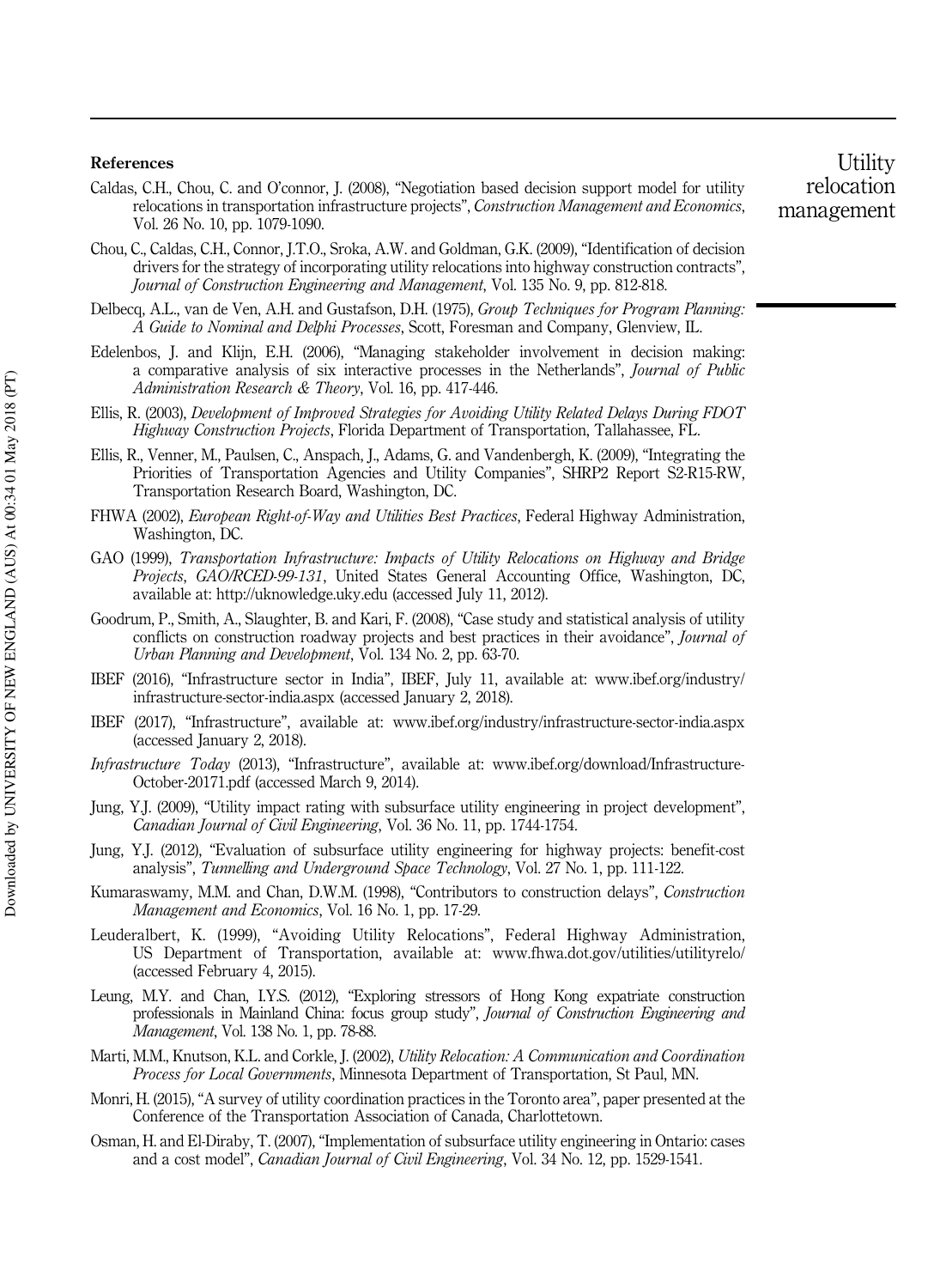#### References

- Caldas, C.H., Chou, C. and O'connor, J. (2008), "Negotiation based decision support model for utility relocations in transportation infrastructure projects", *Construction Management and Economics*, Vol. 26 No. 10, pp. 1079-1090.
- Chou, C., Caldas, C.H., Connor, J.T.O., Sroka, A.W. and Goldman, G.K. (2009), "Identification of decision drivers for the strategy of incorporating utility relocations into highway construction contracts", *Journal of Construction Engineering and Management*, Vol. 135 No. 9, pp. 812-818.
- Delbecq, A.L., van de Ven, A.H. and Gustafson, D.H. (1975), *Group Techniques for Program Planning: A Guide to Nominal and Delphi Processes*, Scott, Foresman and Company, Glenview, IL.
- Edelenbos, J. and Klijn, E.H. (2006), "Managing stakeholder involvement in decision making: a comparative analysis of six interactive processes in the Netherlands", *Journal of Public Administration Research & Theory*, Vol. 16, pp. 417-446.
- Ellis, R. (2003), *Development of Improved Strategies for Avoiding Utility Related Delays During FDOT Highway Construction Projects*, Florida Department of Transportation, Tallahassee, FL.
- Ellis, R., Venner, M., Paulsen, C., Anspach, J., Adams, G. and Vandenbergh, K. (2009), "Integrating the Priorities of Transportation Agencies and Utility Companies", SHRP2 Report S2-R15-RW, Transportation Research Board, Washington, DC.
- FHWA (2002), *European Right-of-Way and Utilities Best Practices*, Federal Highway Administration, Washington, DC.
- GAO (1999), *Transportation Infrastructure: Impacts of Utility Relocations on Highway and Bridge Projects*, *GAO/RCED-99-131*, United States General Accounting Office, Washington, DC, available at: http://uknowledge.uky.edu (accessed July 11, 2012).
- Goodrum, P., Smith, A., Slaughter, B. and Kari, F. (2008), "Case study and statistical analysis of utility conflicts on construction roadway projects and best practices in their avoidance", *Journal of Urban Planning and Development*, Vol. 134 No. 2, pp. 63-70.
- IBEF (2016), "Infrastructure sector in India", IBEF, July 11, available at: www.ibef.org/industry/ infrastructure-sector-india.aspx (accessed January 2, 2018).
- IBEF (2017), "Infrastructure", available at: www.ibef.org/industry/infrastructure-sector-india.aspx (accessed January 2, 2018).
- *Infrastructure Today* (2013), "Infrastructure", available at: www.ibef.org/download/Infrastructure-October-20171.pdf (accessed March 9, 2014).
- Jung, Y.J. (2009), "Utility impact rating with subsurface utility engineering in project development", *Canadian Journal of Civil Engineering*, Vol. 36 No. 11, pp. 1744-1754.
- Jung, Y.J. (2012), "Evaluation of subsurface utility engineering for highway projects: benefit-cost analysis", *Tunnelling and Underground Space Technology*, Vol. 27 No. 1, pp. 111-122.
- Kumaraswamy, M.M. and Chan, D.W.M. (1998), "Contributors to construction delays", *Construction Management and Economics*, Vol. 16 No. 1, pp. 17-29.
- Leuderalbert, K. (1999), "Avoiding Utility Relocations", Federal Highway Administration, US Department of Transportation, available at: www.fhwa.dot.gov/utilities/utilityrelo/ (accessed February 4, 2015).
- Leung, M.Y. and Chan, I.Y.S. (2012), "Exploring stressors of Hong Kong expatriate construction professionals in Mainland China: focus group study", *Journal of Construction Engineering and Management*, Vol. 138 No. 1, pp. 78-88.
- Marti, M.M., Knutson, K.L. and Corkle, J. (2002), *Utility Relocation: A Communication and Coordination Process for Local Governments*, Minnesota Department of Transportation, St Paul, MN.
- Monri, H. (2015), "A survey of utility coordination practices in the Toronto area", paper presented at the Conference of the Transportation Association of Canada, Charlottetown.
- Osman, H. and El-Diraby, T. (2007), "Implementation of subsurface utility engineering in Ontario: cases and a cost model", *Canadian Journal of Civil Engineering*, Vol. 34 No. 12, pp. 1529-1541.

**Utility** relocation management